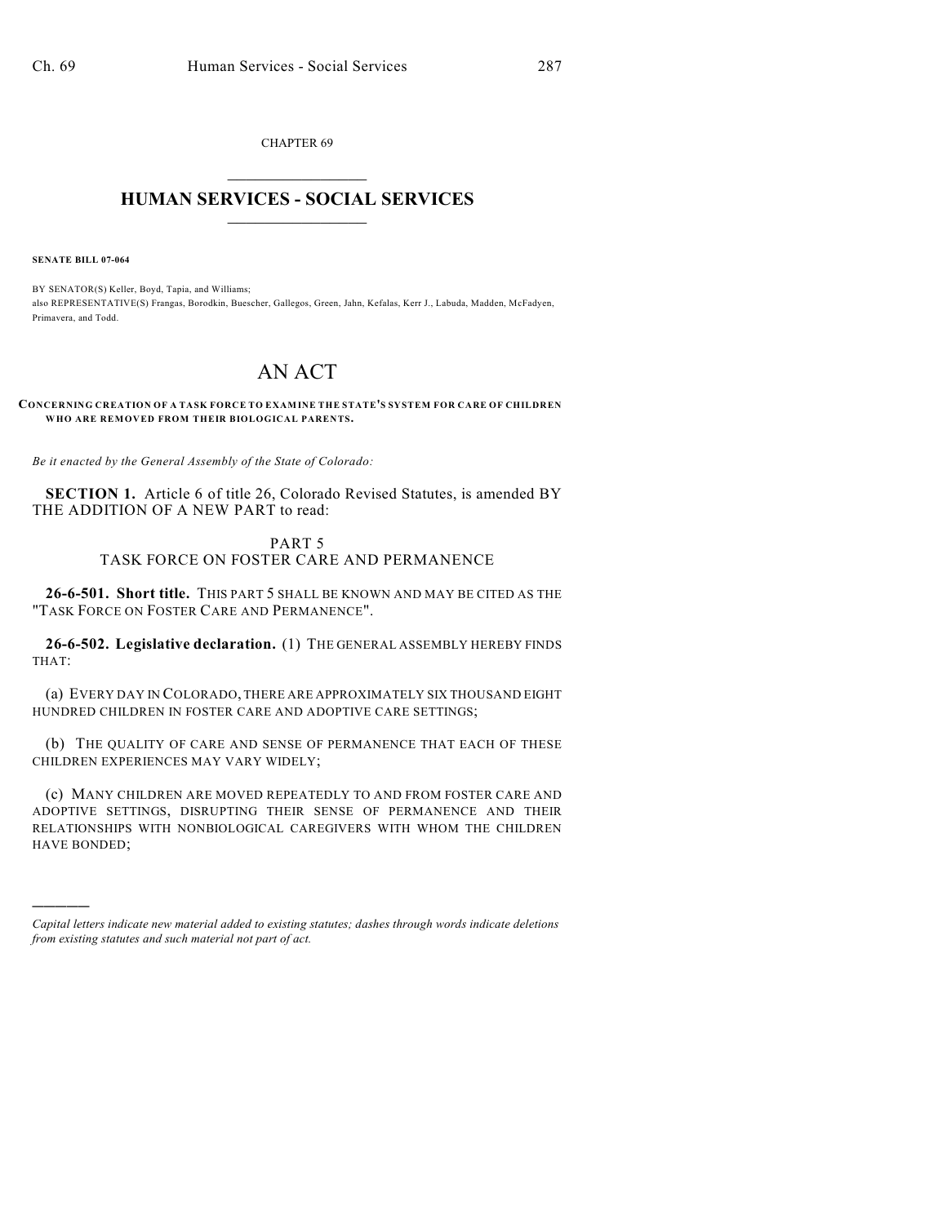CHAPTER 69  $\overline{\phantom{a}}$  . The set of the set of the set of the set of the set of the set of the set of the set of the set of the set of the set of the set of the set of the set of the set of the set of the set of the set of the set o

## **HUMAN SERVICES - SOCIAL SERVICES**  $\frac{1}{2}$  ,  $\frac{1}{2}$  ,  $\frac{1}{2}$  ,  $\frac{1}{2}$  ,  $\frac{1}{2}$  ,  $\frac{1}{2}$  ,  $\frac{1}{2}$

**SENATE BILL 07-064**

)))))

BY SENATOR(S) Keller, Boyd, Tapia, and Williams; also REPRESENTATIVE(S) Frangas, Borodkin, Buescher, Gallegos, Green, Jahn, Kefalas, Kerr J., Labuda, Madden, McFadyen, Primavera, and Todd.

## AN ACT

**CONCERNING CREATION OF A TASK FORCE TO EXAMINE THE STATE'S SYSTEM FOR CARE OF CHILDREN WHO ARE REMOVED FROM THEIR BIOLOGICAL PARENTS.**

*Be it enacted by the General Assembly of the State of Colorado:*

**SECTION 1.** Article 6 of title 26, Colorado Revised Statutes, is amended BY THE ADDITION OF A NEW PART to read:

## PART 5 TASK FORCE ON FOSTER CARE AND PERMANENCE

**26-6-501. Short title.** THIS PART 5 SHALL BE KNOWN AND MAY BE CITED AS THE "TASK FORCE ON FOSTER CARE AND PERMANENCE".

**26-6-502. Legislative declaration.** (1) THE GENERAL ASSEMBLY HEREBY FINDS THAT:

(a) EVERY DAY IN COLORADO, THERE ARE APPROXIMATELY SIX THOUSAND EIGHT HUNDRED CHILDREN IN FOSTER CARE AND ADOPTIVE CARE SETTINGS;

(b) THE QUALITY OF CARE AND SENSE OF PERMANENCE THAT EACH OF THESE CHILDREN EXPERIENCES MAY VARY WIDELY;

(c) MANY CHILDREN ARE MOVED REPEATEDLY TO AND FROM FOSTER CARE AND ADOPTIVE SETTINGS, DISRUPTING THEIR SENSE OF PERMANENCE AND THEIR RELATIONSHIPS WITH NONBIOLOGICAL CAREGIVERS WITH WHOM THE CHILDREN HAVE BONDED;

*Capital letters indicate new material added to existing statutes; dashes through words indicate deletions from existing statutes and such material not part of act.*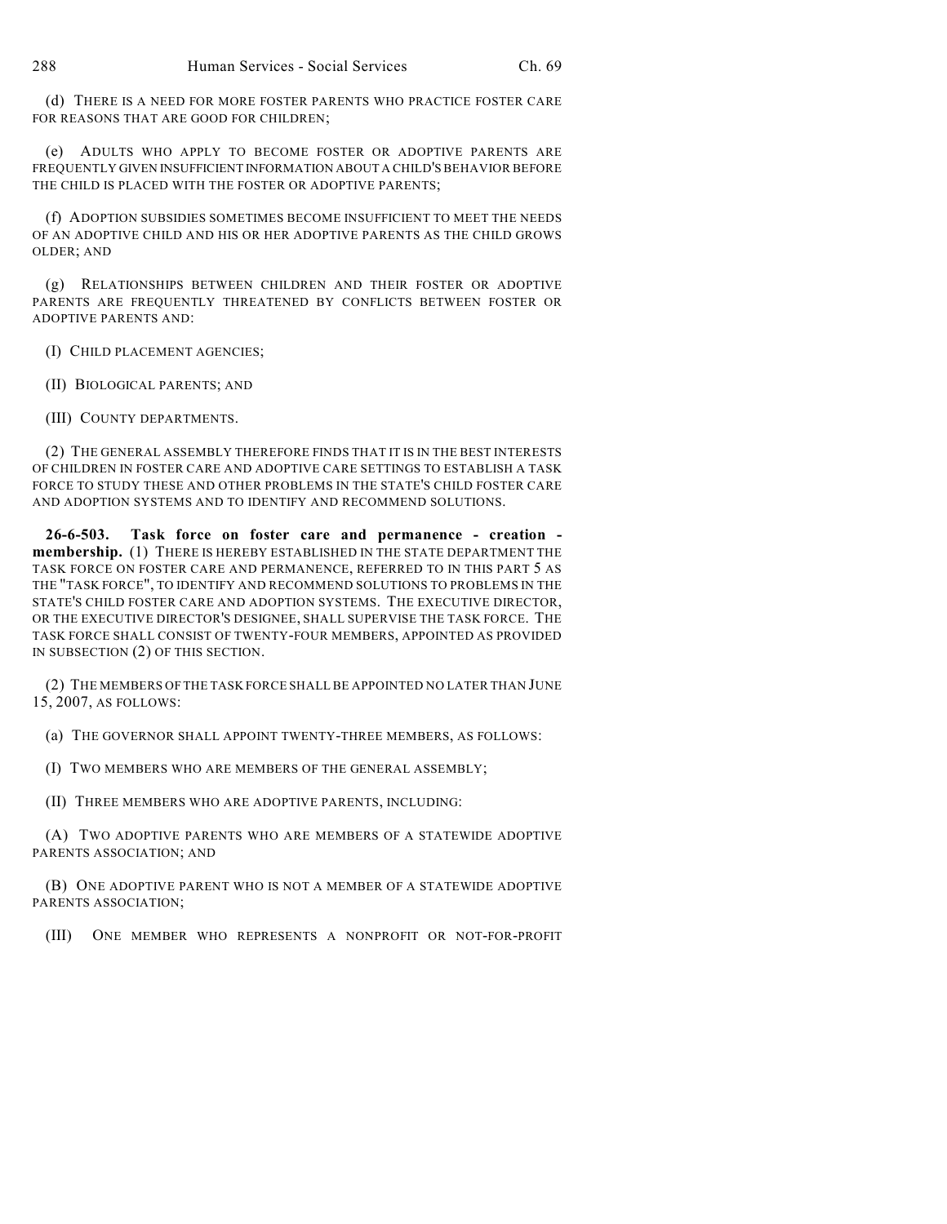(d) THERE IS A NEED FOR MORE FOSTER PARENTS WHO PRACTICE FOSTER CARE FOR REASONS THAT ARE GOOD FOR CHILDREN;

(e) ADULTS WHO APPLY TO BECOME FOSTER OR ADOPTIVE PARENTS ARE FREQUENTLY GIVEN INSUFFICIENT INFORMATION ABOUT A CHILD'S BEHAVIOR BEFORE THE CHILD IS PLACED WITH THE FOSTER OR ADOPTIVE PARENTS;

(f) ADOPTION SUBSIDIES SOMETIMES BECOME INSUFFICIENT TO MEET THE NEEDS OF AN ADOPTIVE CHILD AND HIS OR HER ADOPTIVE PARENTS AS THE CHILD GROWS OLDER; AND

(g) RELATIONSHIPS BETWEEN CHILDREN AND THEIR FOSTER OR ADOPTIVE PARENTS ARE FREQUENTLY THREATENED BY CONFLICTS BETWEEN FOSTER OR ADOPTIVE PARENTS AND:

(I) CHILD PLACEMENT AGENCIES;

(II) BIOLOGICAL PARENTS; AND

(III) COUNTY DEPARTMENTS.

(2) THE GENERAL ASSEMBLY THEREFORE FINDS THAT IT IS IN THE BEST INTERESTS OF CHILDREN IN FOSTER CARE AND ADOPTIVE CARE SETTINGS TO ESTABLISH A TASK FORCE TO STUDY THESE AND OTHER PROBLEMS IN THE STATE'S CHILD FOSTER CARE AND ADOPTION SYSTEMS AND TO IDENTIFY AND RECOMMEND SOLUTIONS.

**26-6-503. Task force on foster care and permanence - creation membership.** (1) THERE IS HEREBY ESTABLISHED IN THE STATE DEPARTMENT THE TASK FORCE ON FOSTER CARE AND PERMANENCE, REFERRED TO IN THIS PART 5 AS THE "TASK FORCE", TO IDENTIFY AND RECOMMEND SOLUTIONS TO PROBLEMS IN THE STATE'S CHILD FOSTER CARE AND ADOPTION SYSTEMS. THE EXECUTIVE DIRECTOR, OR THE EXECUTIVE DIRECTOR'S DESIGNEE, SHALL SUPERVISE THE TASK FORCE. THE TASK FORCE SHALL CONSIST OF TWENTY-FOUR MEMBERS, APPOINTED AS PROVIDED IN SUBSECTION (2) OF THIS SECTION.

(2) THE MEMBERS OFTHE TASK FORCE SHALL BE APPOINTED NO LATER THAN JUNE 15, 2007, AS FOLLOWS:

(a) THE GOVERNOR SHALL APPOINT TWENTY-THREE MEMBERS, AS FOLLOWS:

(I) TWO MEMBERS WHO ARE MEMBERS OF THE GENERAL ASSEMBLY;

(II) THREE MEMBERS WHO ARE ADOPTIVE PARENTS, INCLUDING:

(A) TWO ADOPTIVE PARENTS WHO ARE MEMBERS OF A STATEWIDE ADOPTIVE PARENTS ASSOCIATION; AND

(B) ONE ADOPTIVE PARENT WHO IS NOT A MEMBER OF A STATEWIDE ADOPTIVE PARENTS ASSOCIATION;

(III) ONE MEMBER WHO REPRESENTS A NONPROFIT OR NOT-FOR-PROFIT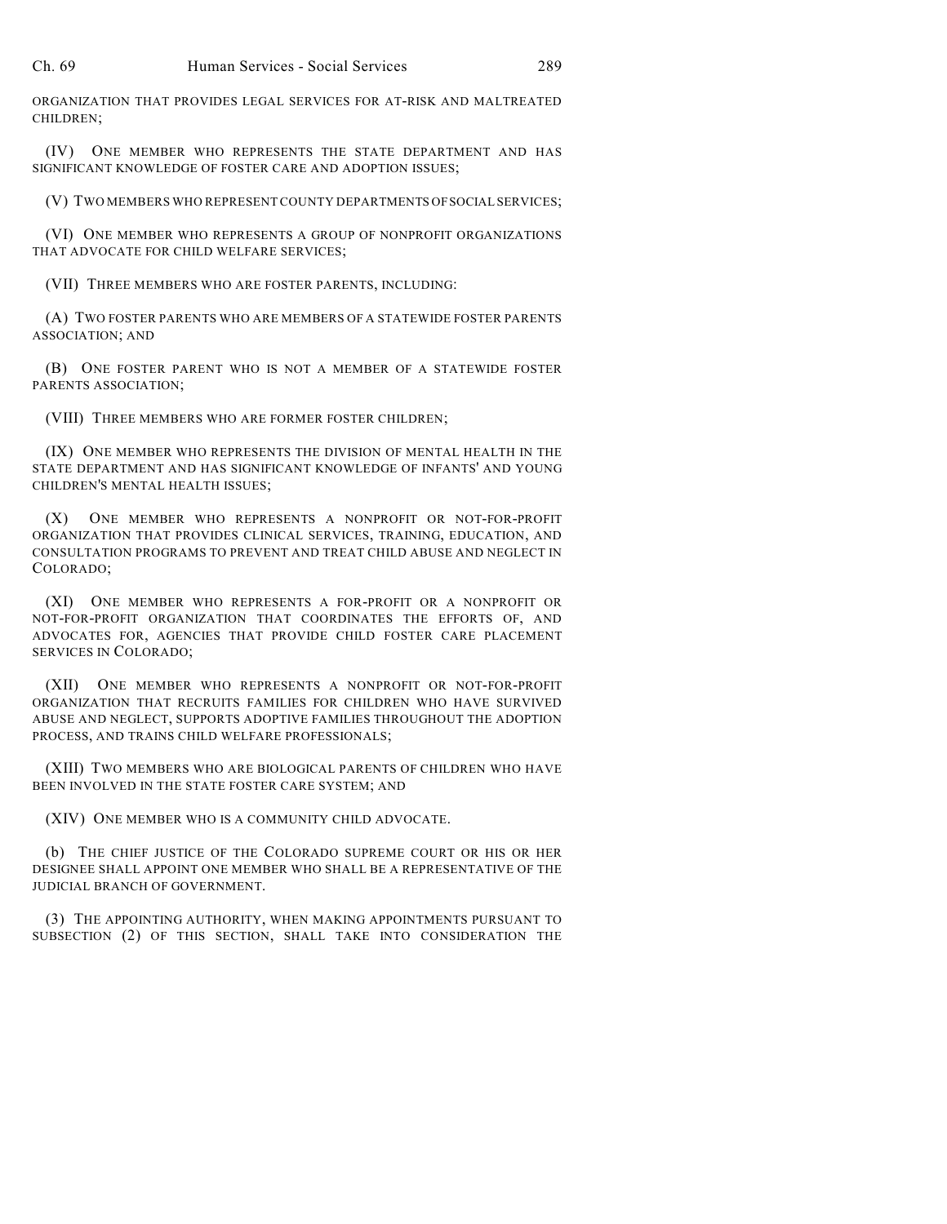ORGANIZATION THAT PROVIDES LEGAL SERVICES FOR AT-RISK AND MALTREATED CHILDREN;

(IV) ONE MEMBER WHO REPRESENTS THE STATE DEPARTMENT AND HAS SIGNIFICANT KNOWLEDGE OF FOSTER CARE AND ADOPTION ISSUES;

(V) TWO MEMBERS WHO REPRESENT COUNTY DEPARTMENTS OF SOCIAL SERVICES;

(VI) ONE MEMBER WHO REPRESENTS A GROUP OF NONPROFIT ORGANIZATIONS THAT ADVOCATE FOR CHILD WELFARE SERVICES;

(VII) THREE MEMBERS WHO ARE FOSTER PARENTS, INCLUDING:

(A) TWO FOSTER PARENTS WHO ARE MEMBERS OF A STATEWIDE FOSTER PARENTS ASSOCIATION; AND

(B) ONE FOSTER PARENT WHO IS NOT A MEMBER OF A STATEWIDE FOSTER PARENTS ASSOCIATION;

(VIII) THREE MEMBERS WHO ARE FORMER FOSTER CHILDREN;

(IX) ONE MEMBER WHO REPRESENTS THE DIVISION OF MENTAL HEALTH IN THE STATE DEPARTMENT AND HAS SIGNIFICANT KNOWLEDGE OF INFANTS' AND YOUNG CHILDREN'S MENTAL HEALTH ISSUES;

(X) ONE MEMBER WHO REPRESENTS A NONPROFIT OR NOT-FOR-PROFIT ORGANIZATION THAT PROVIDES CLINICAL SERVICES, TRAINING, EDUCATION, AND CONSULTATION PROGRAMS TO PREVENT AND TREAT CHILD ABUSE AND NEGLECT IN COLORADO;

(XI) ONE MEMBER WHO REPRESENTS A FOR-PROFIT OR A NONPROFIT OR NOT-FOR-PROFIT ORGANIZATION THAT COORDINATES THE EFFORTS OF, AND ADVOCATES FOR, AGENCIES THAT PROVIDE CHILD FOSTER CARE PLACEMENT SERVICES IN COLORADO;

(XII) ONE MEMBER WHO REPRESENTS A NONPROFIT OR NOT-FOR-PROFIT ORGANIZATION THAT RECRUITS FAMILIES FOR CHILDREN WHO HAVE SURVIVED ABUSE AND NEGLECT, SUPPORTS ADOPTIVE FAMILIES THROUGHOUT THE ADOPTION PROCESS, AND TRAINS CHILD WELFARE PROFESSIONALS;

(XIII) TWO MEMBERS WHO ARE BIOLOGICAL PARENTS OF CHILDREN WHO HAVE BEEN INVOLVED IN THE STATE FOSTER CARE SYSTEM; AND

(XIV) ONE MEMBER WHO IS A COMMUNITY CHILD ADVOCATE.

(b) THE CHIEF JUSTICE OF THE COLORADO SUPREME COURT OR HIS OR HER DESIGNEE SHALL APPOINT ONE MEMBER WHO SHALL BE A REPRESENTATIVE OF THE JUDICIAL BRANCH OF GOVERNMENT.

(3) THE APPOINTING AUTHORITY, WHEN MAKING APPOINTMENTS PURSUANT TO SUBSECTION (2) OF THIS SECTION, SHALL TAKE INTO CONSIDERATION THE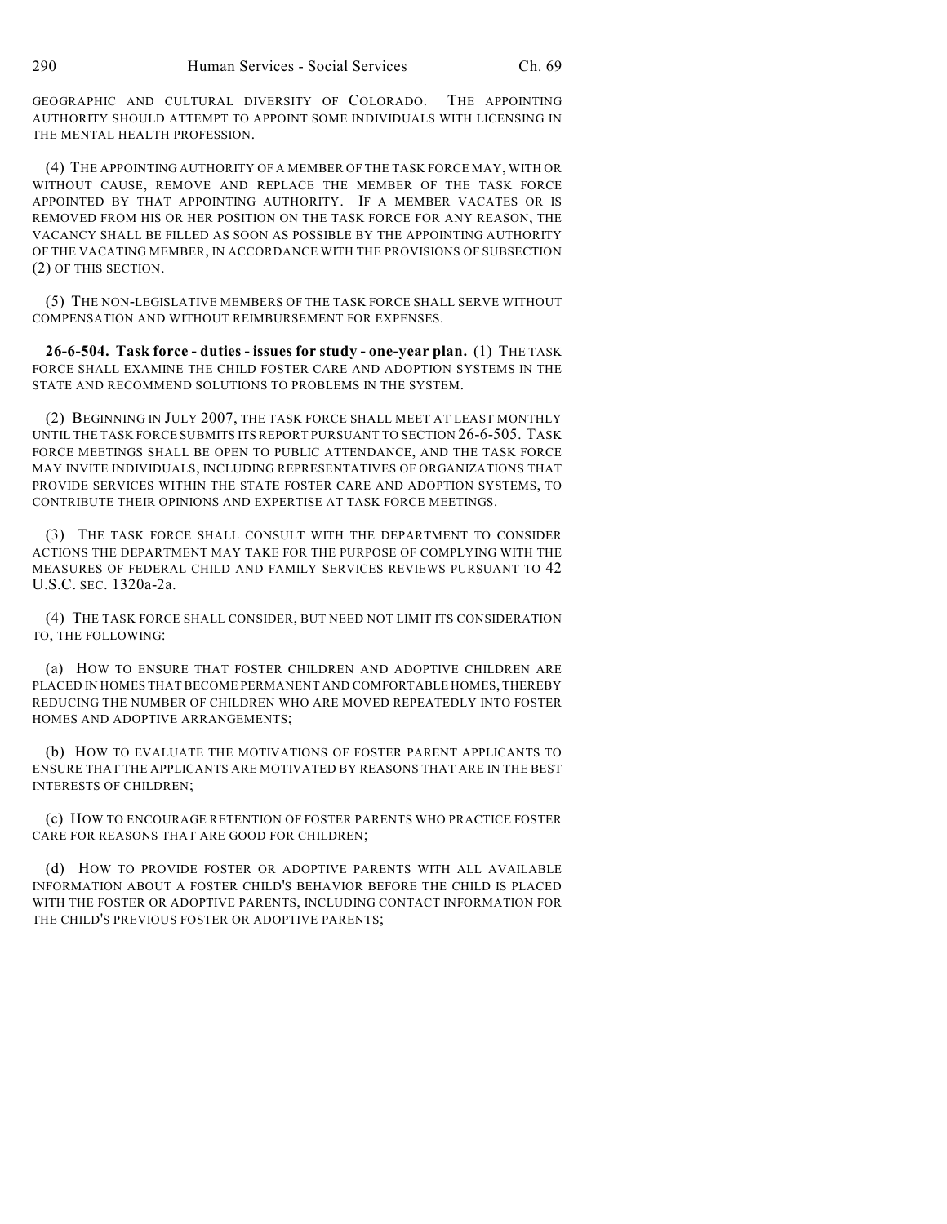GEOGRAPHIC AND CULTURAL DIVERSITY OF COLORADO. THE APPOINTING AUTHORITY SHOULD ATTEMPT TO APPOINT SOME INDIVIDUALS WITH LICENSING IN THE MENTAL HEALTH PROFESSION.

(4) THE APPOINTING AUTHORITY OF A MEMBER OF THE TASK FORCE MAY, WITH OR WITHOUT CAUSE, REMOVE AND REPLACE THE MEMBER OF THE TASK FORCE APPOINTED BY THAT APPOINTING AUTHORITY. IF A MEMBER VACATES OR IS REMOVED FROM HIS OR HER POSITION ON THE TASK FORCE FOR ANY REASON, THE VACANCY SHALL BE FILLED AS SOON AS POSSIBLE BY THE APPOINTING AUTHORITY OF THE VACATING MEMBER, IN ACCORDANCE WITH THE PROVISIONS OF SUBSECTION (2) OF THIS SECTION.

(5) THE NON-LEGISLATIVE MEMBERS OF THE TASK FORCE SHALL SERVE WITHOUT COMPENSATION AND WITHOUT REIMBURSEMENT FOR EXPENSES.

**26-6-504. Task force - duties - issues for study - one-year plan.** (1) THE TASK FORCE SHALL EXAMINE THE CHILD FOSTER CARE AND ADOPTION SYSTEMS IN THE STATE AND RECOMMEND SOLUTIONS TO PROBLEMS IN THE SYSTEM.

(2) BEGINNING IN JULY 2007, THE TASK FORCE SHALL MEET AT LEAST MONTHLY UNTIL THE TASK FORCE SUBMITS ITS REPORT PURSUANT TO SECTION 26-6-505. TASK FORCE MEETINGS SHALL BE OPEN TO PUBLIC ATTENDANCE, AND THE TASK FORCE MAY INVITE INDIVIDUALS, INCLUDING REPRESENTATIVES OF ORGANIZATIONS THAT PROVIDE SERVICES WITHIN THE STATE FOSTER CARE AND ADOPTION SYSTEMS, TO CONTRIBUTE THEIR OPINIONS AND EXPERTISE AT TASK FORCE MEETINGS.

(3) THE TASK FORCE SHALL CONSULT WITH THE DEPARTMENT TO CONSIDER ACTIONS THE DEPARTMENT MAY TAKE FOR THE PURPOSE OF COMPLYING WITH THE MEASURES OF FEDERAL CHILD AND FAMILY SERVICES REVIEWS PURSUANT TO 42 U.S.C. SEC. 1320a-2a.

(4) THE TASK FORCE SHALL CONSIDER, BUT NEED NOT LIMIT ITS CONSIDERATION TO, THE FOLLOWING:

(a) HOW TO ENSURE THAT FOSTER CHILDREN AND ADOPTIVE CHILDREN ARE PLACED IN HOMES THAT BECOME PERMANENT AND COMFORTABLE HOMES, THEREBY REDUCING THE NUMBER OF CHILDREN WHO ARE MOVED REPEATEDLY INTO FOSTER HOMES AND ADOPTIVE ARRANGEMENTS;

(b) HOW TO EVALUATE THE MOTIVATIONS OF FOSTER PARENT APPLICANTS TO ENSURE THAT THE APPLICANTS ARE MOTIVATED BY REASONS THAT ARE IN THE BEST INTERESTS OF CHILDREN;

(c) HOW TO ENCOURAGE RETENTION OF FOSTER PARENTS WHO PRACTICE FOSTER CARE FOR REASONS THAT ARE GOOD FOR CHILDREN;

(d) HOW TO PROVIDE FOSTER OR ADOPTIVE PARENTS WITH ALL AVAILABLE INFORMATION ABOUT A FOSTER CHILD'S BEHAVIOR BEFORE THE CHILD IS PLACED WITH THE FOSTER OR ADOPTIVE PARENTS, INCLUDING CONTACT INFORMATION FOR THE CHILD'S PREVIOUS FOSTER OR ADOPTIVE PARENTS;